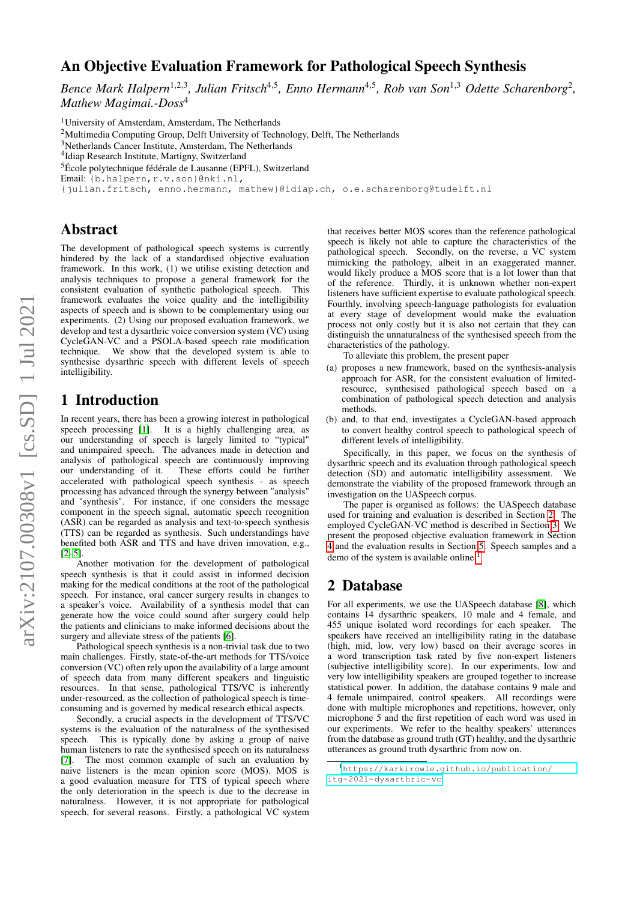# An Objective Evaluation Framework for Pathological Speech Synthesis

Bence Mark Halpern<sup>1,2,3</sup>, Julian Fritsch<sup>4,5</sup>, Enno Hermann<sup>4,5</sup>, Rob van Son<sup>1,3</sup> Odette Scharenborg<sup>2</sup>, *Mathew Magimai.-Doss*<sup>4</sup>

<sup>1</sup>University of Amsterdam, Amsterdam, The Netherlands

<sup>2</sup>Multimedia Computing Group, Delft University of Technology, Delft, The Netherlands

<sup>3</sup>Netherlands Cancer Institute, Amsterdam, The Netherlands

<sup>5</sup>École polytechnique fédérale de Lausanne (EPFL), Switzerland

Email: {b.halpern, r.v.son}@nki.nl,

{julian.fritsch, enno.hermann, mathew}@idiap.ch, o.e.scharenborg@tudelft.nl

### Abstract

The development of pathological speech systems is currently hindered by the lack of a standardised objective evaluation framework. In this work, (1) we utilise existing detection and analysis techniques to propose a general framework for the consistent evaluation of synthetic pathological speech. This framework evaluates the voice quality and the intelligibility aspects of speech and is shown to be complementary using our experiments. (2) Using our proposed evaluation framework, we develop and test a dysarthric voice conversion system (VC) using CycleGAN-VC and a PSOLA-based speech rate modification technique. We show that the developed system is able to synthesise dysarthric speech with different levels of speech intelligibility.

## 1 Introduction

In recent years, there has been a growing interest in pathological speech processing [\[1\]](#page-4-0). It is a highly challenging area, as our understanding of speech is largely limited to "typical" and unimpaired speech. The advances made in detection and analysis of pathological speech are continuously improving our understanding of it. These efforts could be further accelerated with pathological speech synthesis - as speech processing has advanced through the synergy between "analysis" and "synthesis". For instance, if one considers the message component in the speech signal, automatic speech recognition (ASR) can be regarded as analysis and text-to-speech synthesis (TTS) can be regarded as synthesis. Such understandings have benefited both ASR and TTS and have driven innovation, e.g., [\[2–](#page-4-1)[5\]](#page-4-2).

Another motivation for the development of pathological speech synthesis is that it could assist in informed decision making for the medical conditions at the root of the pathological speech. For instance, oral cancer surgery results in changes to a speaker's voice. Availability of a synthesis model that can generate how the voice could sound after surgery could help the patients and clinicians to make informed decisions about the surgery and alleviate stress of the patients [\[6\]](#page-4-3).

Pathological speech synthesis is a non-trivial task due to two main challenges. Firstly, state-of-the-art methods for TTS/voice conversion  $(\overline{VC})$  often rely upon the availability of a large amount of speech data from many different speakers and linguistic resources. In that sense, pathological TTS/VC is inherently under-resourced, as the collection of pathological speech is timeconsuming and is governed by medical research ethical aspects.

Secondly, a crucial aspects in the development of TTS/VC systems is the evaluation of the naturalness of the synthesised speech. This is typically done by asking a group of naive human listeners to rate the synthesised speech on its naturalness [\[7\]](#page-4-4). The most common example of such an evaluation by naive listeners is the mean opinion score (MOS). MOS is a good evaluation measure for TTS of typical speech where the only deterioration in the speech is due to the decrease in naturalness. However, it is not appropriate for pathological speech, for several reasons. Firstly, a pathological VC system that receives better MOS scores than the reference pathological speech is likely not able to capture the characteristics of the pathological speech. Secondly, on the reverse, a VC system mimicking the pathology, albeit in an exaggerated manner, would likely produce a MOS score that is a lot lower than that of the reference. Thirdly, it is unknown whether non-expert listeners have sufficient expertise to evaluate pathological speech. Fourthly, involving speech-language pathologists for evaluation at every stage of development would make the evaluation process not only costly but it is also not certain that they can distinguish the unnaturalness of the synthesised speech from the characteristics of the pathology.

To alleviate this problem, the present paper

- (a) proposes a new framework, based on the synthesis-analysis approach for ASR, for the consistent evaluation of limitedresource, synthesised pathological speech based on a combination of pathological speech detection and analysis methods.
- (b) and, to that end, investigates a CycleGAN-based approach to convert healthy control speech to pathological speech of different levels of intelligibility.

Specifically, in this paper, we focus on the synthesis of dysarthric speech and its evaluation through pathological speech detection (SD) and automatic intelligibility assessment. We demonstrate the viability of the proposed framework through an investigation on the UASpeech corpus.

The paper is organised as follows: the UASpeech database used for training and evaluation is described in Section [2.](#page-0-0) The employed CycleGAN-VC method is described in Section [3.](#page-1-0) We present the proposed objective evaluation framework in Section [4](#page-1-1) and the evaluation results in Section [5.](#page-2-0) Speech samples and a demo of the system is available online.<sup>[1](#page-0-1)</sup>

### <span id="page-0-0"></span>2 Database

For all experiments, we use the UASpeech database [\[8\]](#page-4-5), which contains 14 dysarthric speakers, 10 male and 4 female, and 455 unique isolated word recordings for each speaker. The speakers have received an intelligibility rating in the database (high, mid, low, very low) based on their average scores in a word transcription task rated by five non-expert listeners (subjective intelligibility score). In our experiments, low and very low intelligibility speakers are grouped together to increase statistical power. In addition, the database contains 9 male and 4 female unimpaired, control speakers. All recordings were done with multiple microphones and repetitions, however, only microphone 5 and the first repetition of each word was used in our experiments. We refer to the healthy speakers' utterances from the database as ground truth (GT) healthy, and the dysarthric utterances as ground truth dysarthric from now on.

<sup>&</sup>lt;sup>4</sup>Idiap Research Institute, Martigny, Switzerland

<span id="page-0-1"></span><sup>1</sup>[https://karkirowle.github.io/publication/](https://karkirowle.github.io/publication/itg-2021-dysarthric-vc) [itg-2021-dysarthric-vc](https://karkirowle.github.io/publication/itg-2021-dysarthric-vc)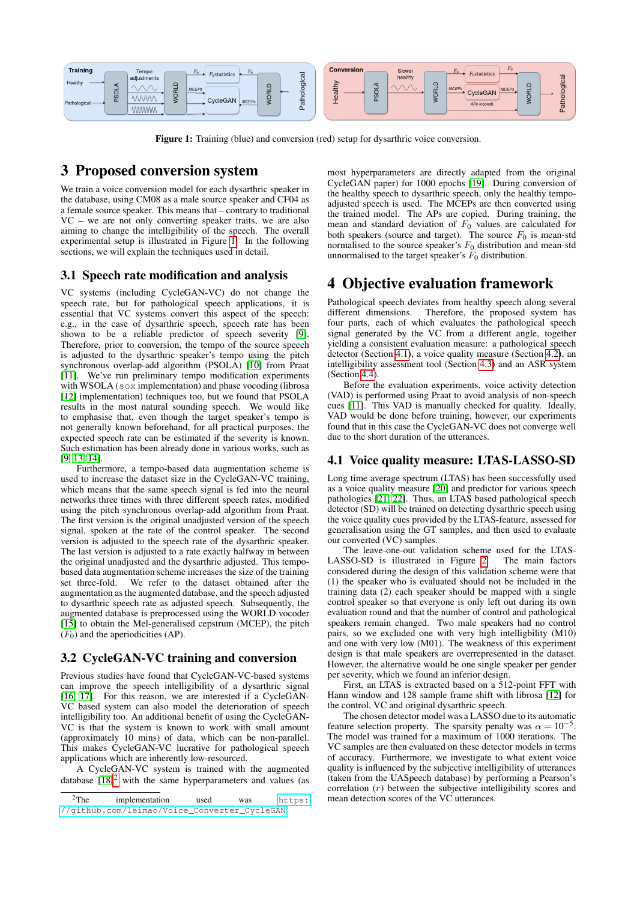

<span id="page-1-2"></span>Figure 1: Training (blue) and conversion (red) setup for dysarthric voice conversion.

# <span id="page-1-0"></span>3 Proposed conversion system

We train a voice conversion model for each dysarthric speaker in the database, using CM08 as a male source speaker and CF04 as a female source speaker. This means that – contrary to traditional VC – we are not only converting speaker traits, we are also aiming to change the intelligibility of the speech. The overall experimental setup is illustrated in Figure [1.](#page-1-2) In the following sections, we will explain the techniques used in detail.

#### 3.1 Speech rate modification and analysis

VC systems (including CycleGAN-VC) do not change the speech rate, but for pathological speech applications, it is essential that VC systems convert this aspect of the speech: e.g., in the case of dysarthric speech, speech rate has been shown to be a reliable predictor of speech severity [\[9\]](#page-4-6). Therefore, prior to conversion, the tempo of the source speech is adjusted to the dysarthric speaker's tempo using the pitch synchronous overlap-add algorithm (PSOLA) [\[10\]](#page-4-7) from Praat [\[11\]](#page-4-8). We've run preliminary tempo modification experiments with WSOLA (sox implementation) and phase vocoding (librosa [\[12\]](#page-4-9) implementation) techniques too, but we found that PSOLA results in the most natural sounding speech. We would like to emphasise that, even though the target speaker's tempo is not generally known beforehand, for all practical purposes, the expected speech rate can be estimated if the severity is known. Such estimation has been already done in various works, such as [\[9,](#page-4-6) [13,](#page-4-10) [14\]](#page-4-11).

Furthermore, a tempo-based data augmentation scheme is used to increase the dataset size in the CycleGAN-VC training, which means that the same speech signal is fed into the neural networks three times with three different speech rates, modified using the pitch synchronous overlap-add algorithm from Praat. The first version is the original unadjusted version of the speech signal, spoken at the rate of the control speaker. The second version is adjusted to the speech rate of the dysarthric speaker. The last version is adjusted to a rate exactly halfway in between the original unadjusted and the dysarthric adjusted. This tempobased data augmentation scheme increases the size of the training<br>set three-fold. We refer to the dataset obtained after the We refer to the dataset obtained after the augmentation as the augmented database, and the speech adjusted to dysarthric speech rate as adjusted speech. Subsequently, the augmented database is preprocessed using the WORLD vocoder [\[15\]](#page-4-12) to obtain the Mel-generalised cepstrum (MCEP), the pitch  $(F<sub>0</sub>)$  and the aperiodicities (AP).

#### 3.2 CycleGAN-VC training and conversion

Previous studies have found that CycleGAN-VC-based systems can improve the speech intelligibility of a dysarthric signal [\[16,](#page-4-13) [17\]](#page-4-14). For this reason, we are interested if a CycleGAN-VC based system can also model the deterioration of speech intelligibility too. An additional benefit of using the CycleGAN-VC is that the system is known to work with small amount (approximately 10 mins) of data, which can be non-parallel. This makes CycleGAN-VC lucrative for pathological speech applications which are inherently low-resourced.

A CycleGAN-VC system is trained with the augmented database  $[18]^2$  $[18]^2$  $[18]^2$  with the same hyperparameters and values (as most hyperparameters are directly adapted from the original CycleGAN paper) for 1000 epochs [\[19\]](#page-4-16). During conversion of the healthy speech to dysarthric speech, only the healthy tempoadjusted speech is used. The MCEPs are then converted using the trained model. The APs are copied. During training, the mean and standard deviation of  $F_0$  values are calculated for both speakers (source and target). The source  $F_0$  is mean-std normalised to the source speaker's  $F_0$  distribution and mean-std unnormalised to the target speaker's  $F_0$  distribution.

# <span id="page-1-1"></span>4 Objective evaluation framework

Pathological speech deviates from healthy speech along several different dimensions. Therefore, the proposed system has Therefore, the proposed system has four parts, each of which evaluates the pathological speech signal generated by the VC from a different angle, together yielding a consistent evaluation measure: a pathological speech detector (Section [4.1\)](#page-1-4), a voice quality measure (Section [4.2\)](#page-2-1), an intelligibility assessment tool (Section [4.3\)](#page-2-2) and an ASR system (Section [4.4\)](#page-2-3).

Before the evaluation experiments, voice activity detection (VAD) is performed using Praat to avoid analysis of non-speech cues [\[11\]](#page-4-8). This VAD is manually checked for quality. Ideally, VAD would be done before training, however, our experiments found that in this case the CycleGAN-VC does not converge well due to the short duration of the utterances.

### <span id="page-1-4"></span>4.1 Voice quality measure: LTAS-LASSO-SD

Long time average spectrum (LTAS) has been successfully used as a voice quality measure [\[20\]](#page-4-17) and predictor for various speech pathologies [\[21,](#page-4-18) [22\]](#page-4-19). Thus, an LTAS based pathological speech detector (SD) will be trained on detecting dysarthric speech using the voice quality cues provided by the LTAS-feature, assessed for generalisation using the GT samples, and then used to evaluate our converted (VC) samples.

The leave-one-out validation scheme used for the LTAS-LASSO-SD is illustrated in Figure [2.](#page-2-4) The main factors considered during the design of this validation scheme were that (1) the speaker who is evaluated should not be included in the training data (2) each speaker should be mapped with a single control speaker so that everyone is only left out during its own evaluation round and that the number of control and pathological speakers remain changed. Two male speakers had no control pairs, so we excluded one with very high intelligbility (M10) and one with very low (M01). The weakness of this experiment design is that male speakers are overrepresented in the dataset. However, the alternative would be one single speaker per gender per severity, which we found an inferior design.

First, an LTAS is extracted based on a 512-point FFT with Hann window and 128 sample frame shift with librosa [\[12\]](#page-4-9) for the control, VC and original dysarthric speech.

The chosen detector model was a LASSO due to its automatic feature selection property. The sparsity penalty was  $\alpha = 10^{-5}$ . The model was trained for a maximum of 1000 iterations. The VC samples are then evaluated on these detector models in terms of accuracy. Furthermore, we investigate to what extent voice quality is influenced by the subjective intelligibility of utterances (taken from the UASpeech database) by performing a Pearson's correlation  $(r)$  between the subjective intelligibility scores and mean detection scores of the VC utterances.

<span id="page-1-3"></span> $2$ The implementation used was  $h$ <sup>++</sup> $n$ s: [//github.com/leimao/Voice\\_Converter\\_CycleGAN](https://github.com/leimao/Voice_Converter_CycleGAN)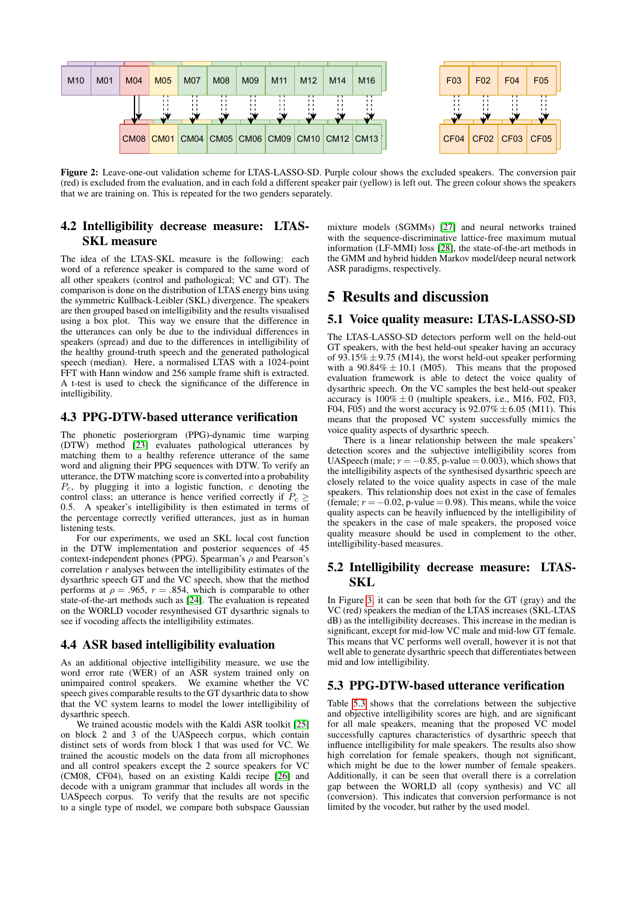

<span id="page-2-4"></span>Figure 2: Leave-one-out validation scheme for LTAS-LASSO-SD. Purple colour shows the excluded speakers. The conversion pair (red) is excluded from the evaluation, and in each fold a different speaker pair (yellow) is left out. The green colour shows the speakers that we are training on. This is repeated for the two genders separately.

### <span id="page-2-1"></span>4.2 Intelligibility decrease measure: LTAS-SKL measure

The idea of the LTAS-SKL measure is the following: each word of a reference speaker is compared to the same word of all other speakers (control and pathological; VC and GT). The comparison is done on the distribution of LTAS energy bins using the symmetric Kullback-Leibler (SKL) divergence. The speakers are then grouped based on intelligibility and the results visualised using a box plot. This way we ensure that the difference in the utterances can only be due to the individual differences in speakers (spread) and due to the differences in intelligibility of the healthy ground-truth speech and the generated pathological speech (median). Here, a normalised LTAS with a 1024-point FFT with Hann window and 256 sample frame shift is extracted. A t-test is used to check the significance of the difference in intelligibility.

#### <span id="page-2-2"></span>4.3 PPG-DTW-based utterance verification

The phonetic posteriorgram (PPG)-dynamic time warping (DTW) method [\[23\]](#page-4-20) evaluates pathological utterances by matching them to a healthy reference utterance of the same word and aligning their PPG sequences with DTW. To verify an utterance, the DTW matching score is converted into a probability  $P_c$ , by plugging it into a logistic function, c denoting the control class; an utterance is hence verified correctly if  $P_c \ge$ 0.5. A speaker's intelligibility is then estimated in terms of the percentage correctly verified utterances, just as in human listening tests.

For our experiments, we used an SKL local cost function in the DTW implementation and posterior sequences of 45 context-independent phones (PPG). Spearman's  $\rho$  and Pearson's correlation  $r$  analyses between the intelligibility estimates of the dysarthric speech GT and the VC speech, show that the method performs at  $\rho = .965$ ,  $r = .854$ , which is comparable to other state-of-the-art methods such as [\[24\]](#page-4-21). The evaluation is repeated on the WORLD vocoder resynthesised GT dysarthric signals to see if vocoding affects the intelligibility estimates.

#### <span id="page-2-3"></span>4.4 ASR based intelligibility evaluation

As an additional objective intelligibility measure, we use the word error rate (WER) of an ASR system trained only on unimpaired control speakers. We examine whether the VC speech gives comparable results to the GT dysarthric data to show that the VC system learns to model the lower intelligibility of dysarthric speech.

We trained acoustic models with the Kaldi ASR toolkit [\[25\]](#page-4-22) on block 2 and 3 of the UASpeech corpus, which contain distinct sets of words from block 1 that was used for VC. We trained the acoustic models on the data from all microphones and all control speakers except the 2 source speakers for VC (CM08, CF04), based on an existing Kaldi recipe [\[26\]](#page-4-23) and decode with a unigram grammar that includes all words in the UASpeech corpus. To verify that the results are not specific to a single type of model, we compare both subspace Gaussian mixture models (SGMMs) [\[27\]](#page-4-24) and neural networks trained with the sequence-discriminative lattice-free maximum mutual information (LF-MMI) loss [\[28\]](#page-4-25), the state-of-the-art methods in the GMM and hybrid hidden Markov model/deep neural network ASR paradigms, respectively.

### <span id="page-2-0"></span>5 Results and discussion

#### 5.1 Voice quality measure: LTAS-LASSO-SD

The LTAS-LASSO-SD detectors perform well on the held-out GT speakers, with the best held-out speaker having an accuracy of  $93.15\% \pm 9.75$  (M14), the worst held-out speaker performing with a  $90.84\% \pm 10.1$  (M05). This means that the proposed evaluation framework is able to detect the voice quality of dysarthric speech. On the VC samples the best held-out speaker accuracy is  $100\% \pm 0$  (multiple speakers, i.e., M16, F02, F03, F04, F05) and the worst accuracy is  $92.07\% \pm 6.05$  (M11). This means that the proposed VC system successfully mimics the voice quality aspects of dysarthric speech.

There is a linear relationship between the male speakers' detection scores and the subjective intelligibility scores from UASpeech (male;  $r = -0.85$ , p-value = 0.003), which shows that the intelligibility aspects of the synthesised dysarthric speech are closely related to the voice quality aspects in case of the male speakers. This relationship does not exist in the case of females (female;  $r = -0.02$ , p-value = 0.98). This means, while the voice quality aspects can be heavily influenced by the intelligibility of the speakers in the case of male speakers, the proposed voice quality measure should be used in complement to the other, intelligibility-based measures.

### 5.2 Intelligibility decrease measure: LTAS-SKL

In Figure [3,](#page-3-0) it can be seen that both for the GT (gray) and the VC (red) speakers the median of the LTAS increases (SKL-LTAS dB) as the intelligibility decreases. This increase in the median is significant, except for mid-low VC male and mid-low GT female. This means that VC performs well overall, however it is not that well able to generate dysarthric speech that differentiates between mid and low intelligibility.

#### <span id="page-2-5"></span>5.3 PPG-DTW-based utterance verification

Table [5.3](#page-2-5) shows that the correlations between the subjective and objective intelligibility scores are high, and are significant for all male speakers, meaning that the proposed VC model successfully captures characteristics of dysarthric speech that influence intelligibility for male speakers. The results also show high correlation for female speakers, though not significant, which might be due to the lower number of female speakers. Additionally, it can be seen that overall there is a correlation gap between the WORLD all (copy synthesis) and VC all (conversion). This indicates that conversion performance is not limited by the vocoder, but rather by the used model.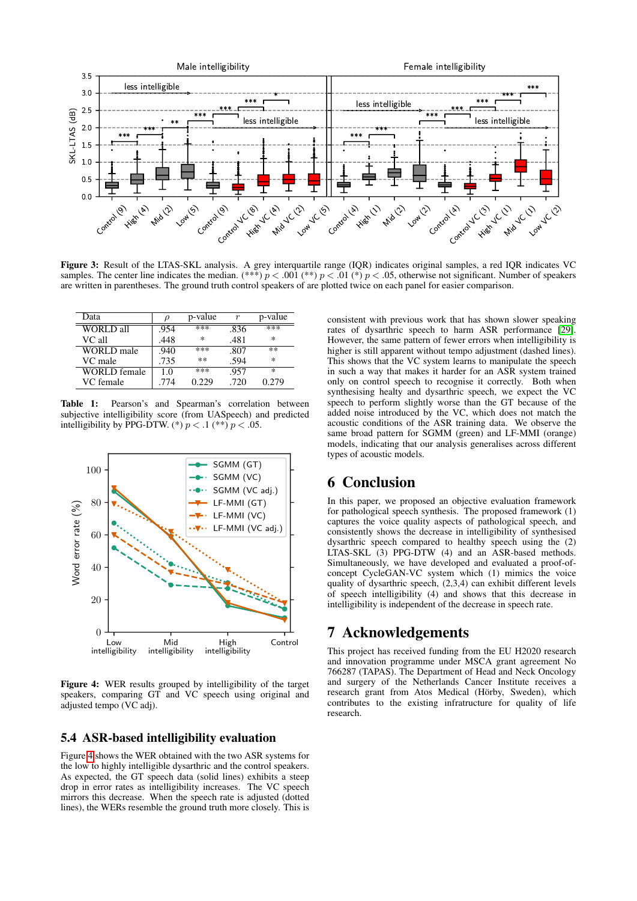

<span id="page-3-0"></span>Figure 3: Result of the LTAS-SKL analysis. A grey interquartile range (IQR) indicates original samples, a red IQR indicates VC samples. The center line indicates the median. (\*\*\*)  $p < .001$  (\*\*)  $p < .01$  (\*)  $p < .05$ , otherwise not significant. Number of speakers are written in parentheses. The ground truth control speakers of are plotted twice on each panel for easier comparison.

| Data                |      | p-value | r    | p-value |
|---------------------|------|---------|------|---------|
| <b>WORLD</b> all    | .954 | $***$   | .836 | ***     |
| VC all              | .448 | ∗       | .481 | ∗       |
| WORLD male          | .940 | ***     | .807 | $**$    |
| VC male             | .735 | $***$   | .594 | ×       |
| <b>WORLD</b> female | 1.0  | ***     | .957 | $\ast$  |
| VC female           | .774 | 0.229   | .720 | 0.279   |

Table 1: Pearson's and Spearman's correlation between subjective intelligibility score (from UASpeech) and predicted intelligibility by PPG-DTW. (\*)  $p < .1$  (\*\*)  $p < .05$ .



<span id="page-3-1"></span>Figure 4: WER results grouped by intelligibility of the target speakers, comparing GT and VC speech using original and adjusted tempo (VC adj).

#### 5.4 ASR-based intelligibility evaluation

Figure [4](#page-3-1) shows the WER obtained with the two ASR systems for the low to highly intelligible dysarthric and the control speakers. As expected, the GT speech data (solid lines) exhibits a steep drop in error rates as intelligibility increases. The VC speech mirrors this decrease. When the speech rate is adjusted (dotted lines), the WERs resemble the ground truth more closely. This is consistent with previous work that has shown slower speaking rates of dysarthric speech to harm ASR performance [\[29\]](#page-4-26). However, the same pattern of fewer errors when intelligibility is higher is still apparent without tempo adjustment (dashed lines). This shows that the VC system learns to manipulate the speech in such a way that makes it harder for an ASR system trained only on control speech to recognise it correctly. Both when synthesising healty and dysarthric speech, we expect the VC speech to perform slightly worse than the GT because of the added noise introduced by the VC, which does not match the acoustic conditions of the ASR training data. We observe the same broad pattern for SGMM (green) and LF-MMI (orange) models, indicating that our analysis generalises across different types of acoustic models.

### 6 Conclusion

In this paper, we proposed an objective evaluation framework for pathological speech synthesis. The proposed framework (1) captures the voice quality aspects of pathological speech, and consistently shows the decrease in intelligibility of synthesised dysarthric speech compared to healthy speech using the (2) LTAS-SKL (3) PPG-DTW (4) and an ASR-based methods. Simultaneously, we have developed and evaluated a proof-ofconcept CycleGAN-VC system which (1) mimics the voice quality of dysarthric speech, (2,3,4) can exhibit different levels of speech intelligibility (4) and shows that this decrease in intelligibility is independent of the decrease in speech rate.

### 7 Acknowledgements

This project has received funding from the EU H2020 research and innovation programme under MSCA grant agreement No 766287 (TAPAS). The Department of Head and Neck Oncology and surgery of the Netherlands Cancer Institute receives a research grant from Atos Medical (Hörby, Sweden), which contributes to the existing infratructure for quality of life research.